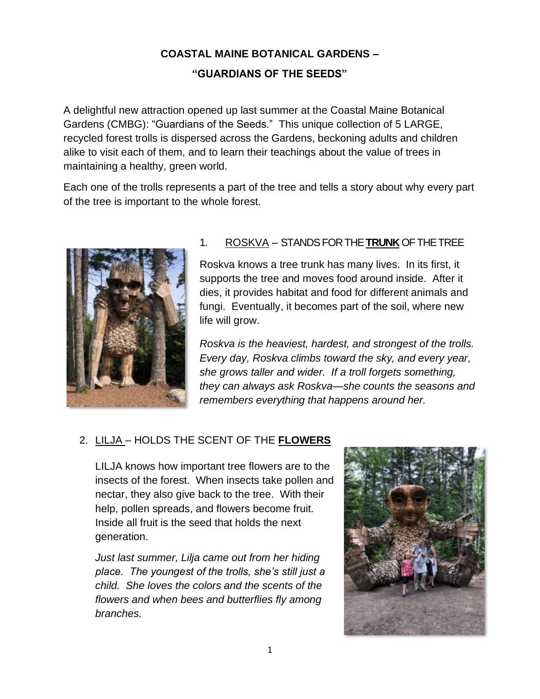# **COASTAL MAINE BOTANICAL GARDENS – "GUARDIANS OF THE SEEDS"**

A delightful new attraction opened up last summer at the Coastal Maine Botanical Gardens (CMBG): "Guardians of the Seeds." This unique collection of 5 LARGE, recycled forest trolls is dispersed across the Gardens, beckoning adults and children alike to visit each of them, and to learn their teachings about the value of trees in maintaining a healthy, green world.

Each one of the trolls represents a part of the tree and tells a story about why every part of the tree is important to the whole forest.



## 1. ROSKVA – STANDS FOR THE **TRUNK**OF THE TREE

Roskva knows a tree trunk has many lives. In its first, it supports the tree and moves food around inside. After it dies, it provides habitat and food for different animals and fungi. Eventually, it becomes part of the soil, where new life will grow.

*Roskva is the heaviest, hardest, and strongest of the trolls. Every day, Roskva climbs toward the sky, and every year, she grows taller and wider. If a troll forgets something, they can always ask Roskva—she counts the seasons and remembers everything that happens around her.*

# 2. LILJA – HOLDS THE SCENT OF THE **FLOWERS**

LILJA knows how important tree flowers are to the insects of the forest. When insects take pollen and nectar, they also give back to the tree. With their help, pollen spreads, and flowers become fruit. Inside all fruit is the seed that holds the next generation.

*Just last summer, Lilja came out from her hiding place. The youngest of the trolls, she's still just a child. She loves the colors and the scents of the flowers and when bees and butterflies fly among branches.*

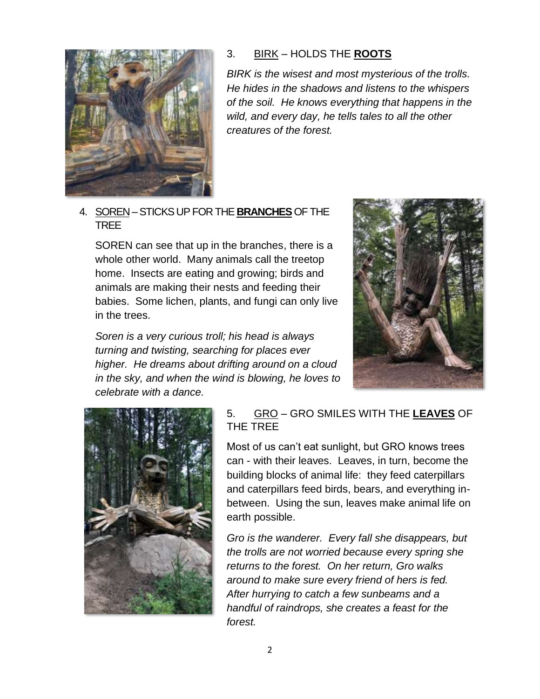

#### 3. BIRK – HOLDS THE **ROOTS**

*BIRK is the wisest and most mysterious of the trolls. He hides in the shadows and listens to the whispers of the soil. He knows everything that happens in the wild, and every day, he tells tales to all the other creatures of the forest.*

4. SOREN –STICKS UP FOR THE **BRANCHES**OF THE TREE

SOREN can see that up in the branches, there is a whole other world. Many animals call the treetop home. Insects are eating and growing; birds and animals are making their nests and feeding their babies. Some lichen, plants, and fungi can only live in the trees.

*Soren is a very curious troll; his head is always turning and twisting, searching for places ever higher. He dreams about drifting around on a cloud in the sky, and when the wind is blowing, he loves to celebrate with a dance.*





## 5. GRO – GRO SMILES WITH THE **LEAVES** OF THE TREE

Most of us can't eat sunlight, but GRO knows trees can - with their leaves. Leaves, in turn, become the building blocks of animal life: they feed caterpillars and caterpillars feed birds, bears, and everything inbetween. Using the sun, leaves make animal life on earth possible.

*Gro is the wanderer. Every fall she disappears, but the trolls are not worried because every spring she returns to the forest. On her return, Gro walks around to make sure every friend of hers is fed. After hurrying to catch a few sunbeams and a handful of raindrops, she creates a feast for the forest.*